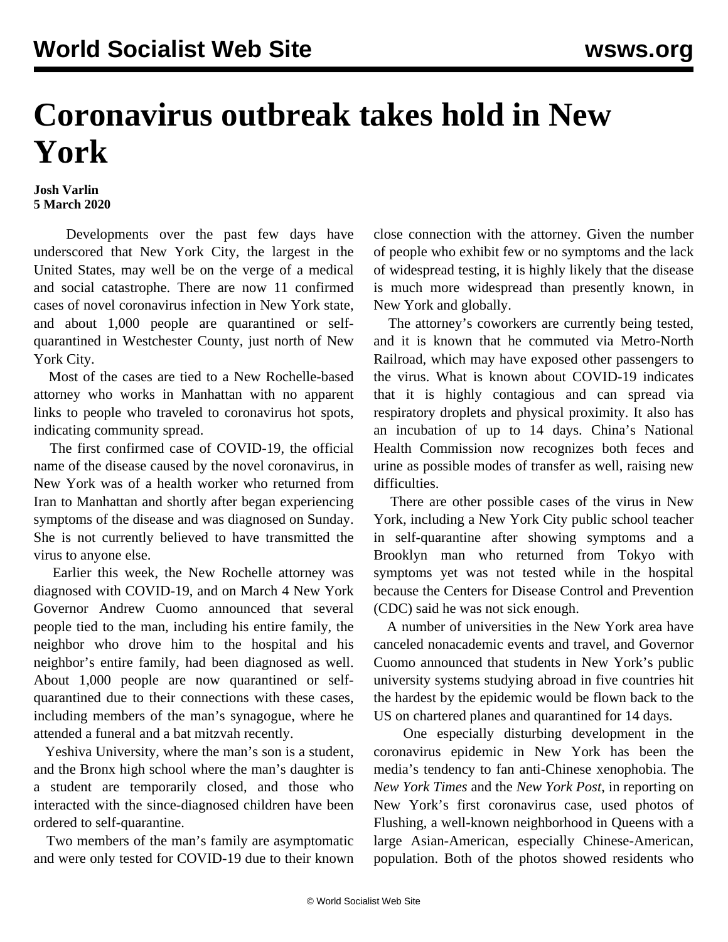## **Coronavirus outbreak takes hold in New York**

## **Josh Varlin 5 March 2020**

 Developments over the past few days have underscored that New York City, the largest in the United States, may well be on the verge of a medical and social catastrophe. There are now 11 confirmed cases of novel coronavirus infection in New York state, and about 1,000 people are quarantined or selfquarantined in Westchester County, just north of New York City.

 Most of the cases are tied to a New Rochelle-based attorney who works in Manhattan with no apparent links to people who traveled to coronavirus hot spots, indicating community spread.

 The first confirmed case of COVID-19, the official name of the disease caused by the novel coronavirus, in New York was of a health worker who returned from Iran to Manhattan and shortly after began experiencing symptoms of the disease and was diagnosed on Sunday. She is not currently believed to have transmitted the virus to anyone else.

 Earlier this week, the New Rochelle attorney was diagnosed with COVID-19, and on March 4 New York Governor Andrew Cuomo announced that several people tied to the man, including his entire family, the neighbor who drove him to the hospital and his neighbor's entire family, had been diagnosed as well. About 1,000 people are now quarantined or selfquarantined due to their connections with these cases, including members of the man's synagogue, where he attended a funeral and a bat mitzvah recently.

 Yeshiva University, where the man's son is a student, and the Bronx high school where the man's daughter is a student are temporarily closed, and those who interacted with the since-diagnosed children have been ordered to self-quarantine.

 Two members of the man's family are asymptomatic and were only tested for COVID-19 due to their known close connection with the attorney. Given the number of people who exhibit few or no symptoms and the lack of widespread testing, it is highly likely that the disease is much more widespread than presently known, in New York and globally.

 The attorney's coworkers are currently being tested, and it is known that he commuted via Metro-North Railroad, which may have exposed other passengers to the virus. What is known about COVID-19 indicates that it is highly contagious and can spread via respiratory droplets and physical proximity. It also has an incubation of up to 14 days. China's National Health Commission now recognizes both feces and urine as possible modes of transfer as well, raising new difficulties.

 There are other possible cases of the virus in New York, including a New York City public school teacher in self-quarantine after showing symptoms and a Brooklyn man who returned from Tokyo with symptoms yet was not tested while in the hospital because the Centers for Disease Control and Prevention (CDC) said he was not sick enough.

 A number of universities in the New York area have canceled nonacademic events and travel, and Governor Cuomo announced that students in New York's public university systems studying abroad in five countries hit the hardest by the epidemic would be flown back to the US on chartered planes and quarantined for 14 days.

 One especially disturbing development in the coronavirus epidemic in New York has been the media's tendency to fan anti-Chinese xenophobia. The *New York Times* and the *New York Post*, in reporting on New York's first coronavirus case, used photos of Flushing, a well-known neighborhood in Queens with a large Asian-American, especially Chinese-American, population. Both of the photos showed residents who